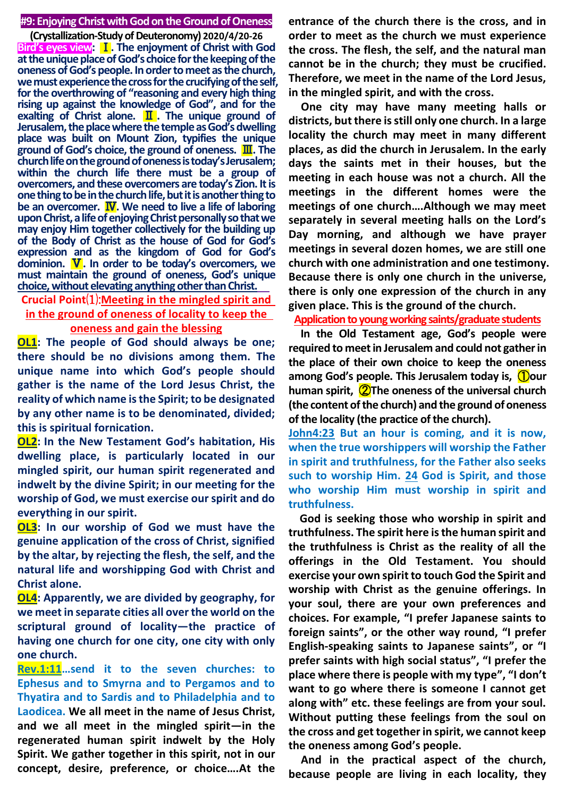#### **#9: Enjoying Christ with God on the Ground of Oneness**

**(Crystallization-Study of Deuteronomy) 2020/4/20-26 Bird's eyes view:** Ⅰ**. The enjoyment of Christ with God at the unique place of God's choice for the keeping of the oneness of God's people. In order to meet as the church, we must experience the cross for the crucifying of the self, for the overthrowing of "reasoning and every high thing rising up against the knowledge of God", and for the exalting of Christ alone.** Ⅱ**. The unique ground of Jerusalem, the place where the temple as God's dwelling place was built on Mount Zion, typifies the unique ground of God's choice, the ground of oneness.** Ⅲ**. The church life on the ground of oneness is today's Jerusalem; within the church life there must be a group of overcomers, and these overcomers are today's Zion. It is one thing to be in the church life, but it is another thing to be an overcomer.** Ⅳ**. We need to live a life of laboring upon Christ, a life of enjoying Christ personally so that we may enjoy Him together collectively for the building up of the Body of Christ as the house of God for God's expression and as the kingdom of God for God's dominion.** Ⅴ**. In order to be today's overcomers, we must maintain the ground of oneness, God's unique choice, without elevating anything other than Christ.**

# **Crucial Point**⑴:**Meeting in the mingled spirit and in the ground of oneness of locality to keep the**

**oneness and gain the blessing**

**OL1: The people of God should always be one; there should be no divisions among them. The unique name into which God's people should gather is the name of the Lord Jesus Christ, the reality of which name is the Spirit; to be designated by any other name is to be denominated, divided; this is spiritual fornication.**

**OL2: In the New Testament God's habitation, His dwelling place, is particularly located in our mingled spirit, our human spirit regenerated and indwelt by the divine Spirit; in our meeting for the worship of God, we must exercise our spirit and do everything in our spirit.** 

**OL3: In our worship of God we must have the genuine application of the cross of Christ, signified by the altar, by rejecting the flesh, the self, and the natural life and worshipping God with Christ and Christ alone.**

**OL4: Apparently, we are divided by geography, for we meet in separate cities all over the world on the scriptural ground of locality—the practice of having one church for one city, one city with only one church.**

**Rev.1:11…send it to the seven churches: to Ephesus and to Smyrna and to Pergamos and to Thyatira and to Sardis and to Philadelphia and to Laodicea. We all meet in the name of Jesus Christ, and we all meet in the mingled spirit—in the regenerated human spirit indwelt by the Holy Spirit. We gather together in this spirit, not in our concept, desire, preference, or choice….At the** 

**entrance of the church there is the cross, and in order to meet as the church we must experience the cross. The flesh, the self, and the natural man cannot be in the church; they must be crucified. Therefore, we meet in the name of the Lord Jesus, in the mingled spirit, and with the cross.**

**One city may have many meeting halls or districts, but there is still only one church. In a large locality the church may meet in many different places, as did the church in Jerusalem. In the early days the saints met in their houses, but the meeting in each house was not a church. All the meetings in the different homes were the meetings of one church….Although we may meet separately in several meeting halls on the Lord's Day morning, and although we have prayer meetings in several dozen homes, we are still one church with one administration and one testimony. Because there is only one church in the universe, there is only one expression of the church in any given place. This is the ground of the church.**

**Application to young working saints/graduate students**

**In the Old Testament age, God's people were required to meet in Jerusalem and could not gather in the place of their own choice to keep the oneness among God's people. This Jerusalem today is,** ①**our human spirit,** ②**The oneness of the universal church (the content of the church) and the ground of oneness of the locality (the practice of the church).**

**John4:23 But an hour is coming, and it is now, when the true worshippers will worship the Father in spirit and truthfulness, for the Father also seeks such to worship Him. 24 God is Spirit, and those who worship Him must worship in spirit and truthfulness.**

**God is seeking those who worship in spirit and truthfulness. The spirit here is the human spirit and the truthfulness is Christ as the reality of all the offerings in the Old Testament. You should exercise your own spirit to touch God the Spirit and worship with Christ as the genuine offerings. In your soul, there are your own preferences and choices. For example, "I prefer Japanese saints to foreign saints", or the other way round, "I prefer English-speaking saints to Japanese saints", or "I prefer saints with high social status", "I prefer the place where there is people with my type", "I don't want to go where there is someone I cannot get along with" etc. these feelings are from your soul. Without putting these feelings from the soul on the cross and get together in spirit, we cannot keep the oneness among God's people.**

**And in the practical aspect of the church, because people are living in each locality, they**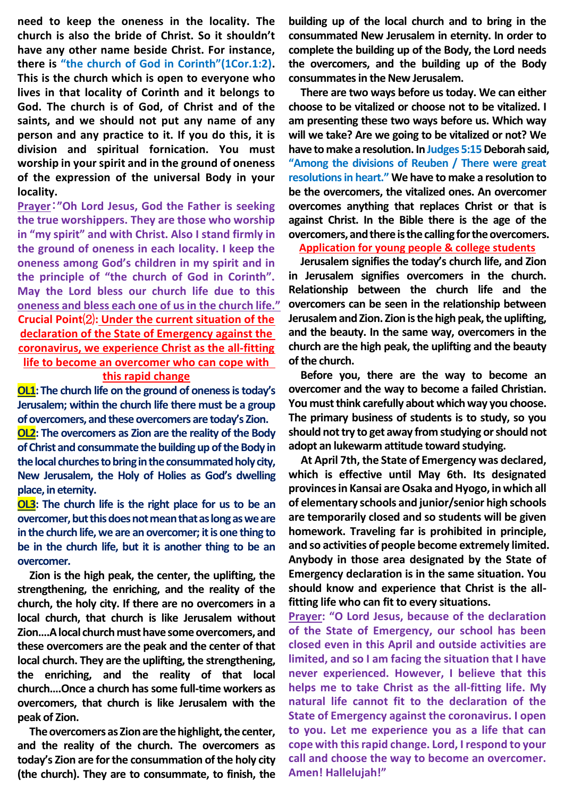**need to keep the oneness in the locality. The church is also the bride of Christ. So it shouldn't have any other name beside Christ. For instance, there is "the church of God in Corinth"(1Cor.1:2). This is the church which is open to everyone who lives in that locality of Corinth and it belongs to God. The church is of God, of Christ and of the saints, and we should not put any name of any person and any practice to it. If you do this, it is division and spiritual fornication. You must worship in your spirit and in the ground of oneness of the expression of the universal Body in your locality.** 

**Prayer**:**"Oh Lord Jesus, God the Father is seeking the true worshippers. They are those who worship in "my spirit" and with Christ. Also I stand firmly in the ground of oneness in each locality. I keep the oneness among God's children in my spirit and in the principle of "the church of God in Corinth". May the Lord bless our church life due to this oneness and bless each one of us in the church life." Crucial Point**⑵**: Under the current situation of the declaration of the State of Emergency against the coronavirus, we experience Christ as the all-fitting life to become an overcomer who can cope with** 

#### **this rapid change**

**OL1:The church life on the ground of oneness is today's Jerusalem; within the church life there must be a group of overcomers, and these overcomers are today's Zion.**

**OL2: The overcomers as Zion are the reality of the Body of Christ and consummate the building up of the Body in the local churches to bring in the consummated holy city, New Jerusalem, the Holy of Holies as God's dwelling place, in eternity.**

**OL3: The church life is the right place for us to be an overcomer, but this does not mean that as long as we are in the church life, we are an overcomer; it is one thing to be in the church life, but it is another thing to be an overcomer.**

**Zion is the high peak, the center, the uplifting, the strengthening, the enriching, and the reality of the church, the holy city. If there are no overcomers in a local church, that church is like Jerusalem without Zion….A local church must have some overcomers, and these overcomers are the peak and the center of that local church. They are the uplifting, the strengthening, the enriching, and the reality of that local church….Once a church has some full-time workers as overcomers, that church is like Jerusalem with the peak of Zion.** 

**The overcomers as Zion are the highlight, the center, and the reality of the church. The overcomers as today's Zion are for the consummation of the holy city (the church). They are to consummate, to finish, the** 

**building up of the local church and to bring in the consummated New Jerusalem in eternity. In order to complete the building up of the Body, the Lord needs the overcomers, and the building up of the Body consummates in the New Jerusalem.**

**There are two ways before us today. We can either choose to be vitalized or choose not to be vitalized. I am presenting these two ways before us. Which way will we take? Are we going to be vitalized or not? We**  have to make a resolution. In Judges 5:15 Deborah said, **"Among the divisions of Reuben / There were great resolutions in heart." We have to make a resolution to be the overcomers, the vitalized ones. An overcomer overcomes anything that replaces Christ or that is against Christ. In the Bible there is the age of the overcomers, and there is the calling for the overcomers.**

**Application for young people & college students**

**Jerusalem signifies the today's church life, and Zion in Jerusalem signifies overcomers in the church. Relationship between the church life and the overcomers can be seen in the relationship between Jerusalem and Zion. Zion is the high peak, the uplifting, and the beauty. In the same way, overcomers in the church are the high peak, the uplifting and the beauty of the church.**

**Before you, there are the way to become an overcomer and the way to become a failed Christian. You must think carefully about which way you choose. The primary business of students is to study, so you should not try to get away from studying or should not adopt an lukewarm attitude toward studying.**

**At April 7th, the State of Emergency was declared, which is effective until May 6th. Its designated provinces in Kansai are Osaka and Hyogo, in which all of elementary schools and junior/senior high schools are temporarily closed and so students will be given homework. Traveling far is prohibited in principle, and so activities of people become extremely limited. Anybody in those area designated by the State of Emergency declaration is in the same situation. You should know and experience that Christ is the allfitting life who can fit to every situations.**

**Prayer: "O Lord Jesus, because of the declaration of the State of Emergency, our school has been closed even in this April and outside activities are limited, and so I am facing the situation that I have never experienced. However, I believe that this helps me to take Christ as the all-fitting life. My natural life cannot fit to the declaration of the State of Emergency against the coronavirus. I open to you. Let me experience you as a life that can cope with this rapid change. Lord, I respond to your call and choose the way to become an overcomer. Amen! Hallelujah!"**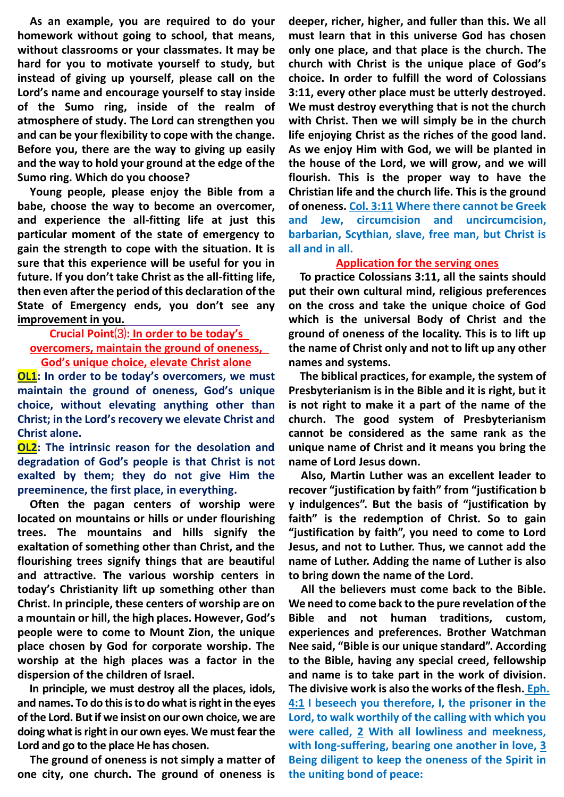**As an example, you are required to do your homework without going to school, that means, without classrooms or your classmates. It may be hard for you to motivate yourself to study, but instead of giving up yourself, please call on the Lord's name and encourage yourself to stay inside of the Sumo ring, inside of the realm of atmosphere of study. The Lord can strengthen you and can be your flexibility to cope with the change. Before you, there are the way to giving up easily and the way to hold your ground at the edge of the Sumo ring. Which do you choose?**

**Young people, please enjoy the Bible from a babe, choose the way to become an overcomer, and experience the all-fitting life at just this particular moment of the state of emergency to gain the strength to cope with the situation. It is sure that this experience will be useful for you in future. If you don't take Christ as the all-fitting life, then even after the period of this declaration of the State of Emergency ends, you don't see any improvement in you.**

## **Crucial Point**⑶**: In order to be today's overcomers, maintain the ground of oneness, God's unique choice, elevate Christ alone**

**OL1: In order to be today's overcomers, we must maintain the ground of oneness, God's unique choice, without elevating anything other than Christ; in the Lord's recovery we elevate Christ and Christ alone.**

**OL2: The intrinsic reason for the desolation and degradation of God's people is that Christ is not exalted by them; they do not give Him the preeminence, the first place, in everything.**

**Often the pagan centers of worship were located on mountains or hills or under flourishing trees. The mountains and hills signify the exaltation of something other than Christ, and the flourishing trees signify things that are beautiful and attractive. The various worship centers in today's Christianity lift up something other than Christ. In principle, these centers of worship are on a mountain or hill, the high places. However, God's people were to come to Mount Zion, the unique place chosen by God for corporate worship. The worship at the high places was a factor in the dispersion of the children of Israel.**

**In principle, we must destroy all the places, idols, and names. To do this isto do what is right in the eyes of the Lord. But if we insist on our own choice, we are doing what is right in our own eyes. We must fear the Lord and go to the place He has chosen.**

**The ground of oneness is not simply a matter of one city, one church. The ground of oneness is** 

**deeper, richer, higher, and fuller than this. We all must learn that in this universe God has chosen only one place, and that place is the church. The church with Christ is the unique place of God's choice. In order to fulfill the word of Colossians 3:11, every other place must be utterly destroyed. We must destroy everything that is not the church with Christ. Then we will simply be in the church life enjoying Christ as the riches of the good land. As we enjoy Him with God, we will be planted in the house of the Lord, we will grow, and we will flourish. This is the proper way to have the Christian life and the church life. This is the ground of oneness. Col. 3:11 Where there cannot be Greek and Jew, circumcision and uncircumcision, barbarian, Scythian, slave, free man, but Christ is all and in all.**

#### **Application for the serving ones**

**To practice Colossians 3:11, all the saints should put their own cultural mind, religious preferences on the cross and take the unique choice of God which is the universal Body of Christ and the ground of oneness of the locality. This is to lift up the name of Christ only and not to lift up any other names and systems.**

**The biblical practices, for example, the system of Presbyterianism is in the Bible and it is right, but it is not right to make it a part of the name of the church. The good system of Presbyterianism cannot be considered as the same rank as the unique name of Christ and it means you bring the name of Lord Jesus down.**

**Also, Martin Luther was an excellent leader to recover "justification by faith" from "justification b y indulgences". But the basis of "justification by faith" is the redemption of Christ. So to gain "justification by faith", you need to come to Lord Jesus, and not to Luther. Thus, we cannot add the name of Luther. Adding the name of Luther is also to bring down the name of the Lord.**

**All the believers must come back to the Bible. We need to come back to the pure revelation of the Bible and not human traditions, custom, experiences and preferences. Brother Watchman Nee said, "Bible is our unique standard". According to the Bible, having any special creed, fellowship and name is to take part in the work of division. The divisive work is also the works of the flesh. Eph. 4:1 I beseech you therefore, I, the prisoner in the Lord, to walk worthily of the calling with which you were called, 2 With all lowliness and meekness, with long-suffering, bearing one another in love, 3 Being diligent to keep the oneness of the Spirit in the uniting bond of peace:**